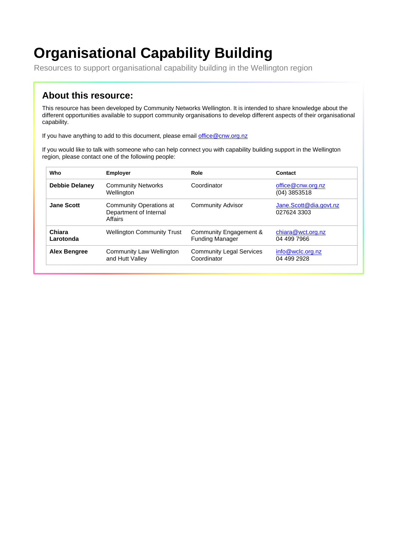# **Organisational Capability Building**

Resources to support organisational capability building in the Wellington region

#### **About this resource:**

This resource has been developed by Community Networks Wellington. It is intended to share knowledge about the different opportunities available to support community organisations to develop different aspects of their organisational capability.

If you have anything to add to this document, please email [office@cnw.org.nz](mailto:office@cnw.org.nz)

If you would like to talk with someone who can help connect you with capability building support in the Wellington region, please contact one of the following people:

| Who                   | <b>Employer</b>                                              | Role                                             | Contact                               |
|-----------------------|--------------------------------------------------------------|--------------------------------------------------|---------------------------------------|
| <b>Debbie Delaney</b> | <b>Community Networks</b><br>Wellington                      | Coordinator                                      | office@cnw.org.nz<br>$(04)$ 3853518   |
| <b>Jane Scott</b>     | Community Operations at<br>Department of Internal<br>Affairs | <b>Community Advisor</b>                         | Jane.Scott@dia.govt.nz<br>027624 3303 |
| Chiara<br>Larotonda   | <b>Wellington Community Trust</b>                            | Community Engagement &<br><b>Funding Manager</b> | chiara@wct.org.nz<br>04 499 7966      |
| <b>Alex Bengree</b>   | Community Law Wellington<br>and Hutt Valley                  | <b>Community Legal Services</b><br>Coordinator   | info@wclc.org.nz<br>04 499 2928       |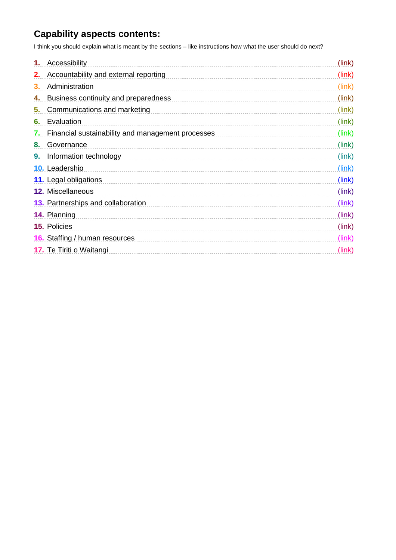### **Capability aspects contents:**

I think you should explain what is meant by the sections – like instructions how what the user should do next?

<span id="page-1-0"></span>

| Accessibility<br>1.                                     | (link) |
|---------------------------------------------------------|--------|
| Accountability and external reporting<br>2.             | (link) |
| Administration<br>З.                                    | (link) |
| Business continuity and preparedness<br>4.              | (link) |
| 5.<br>Communications and marketing                      | (link) |
| Evaluation<br>6.                                        | (link) |
| Financial sustainability and management processes<br>7. | (link) |
| Governance<br>8.                                        | (link) |
| Information technology<br>9.                            | (link) |
| <b>10.</b> Leadership                                   | (link) |
| 11. Legal obligations                                   | (link) |
| 12. Miscellaneous                                       | (link) |
| <b>13.</b> Partnerships and collaboration               | (link) |
| 14. Planning                                            | (link) |
| <b>15. Policies</b>                                     | (link) |
| <b>16.</b> Staffing / human resources                   | (link) |
| 17. Te Tiriti o Waitangi                                | (link) |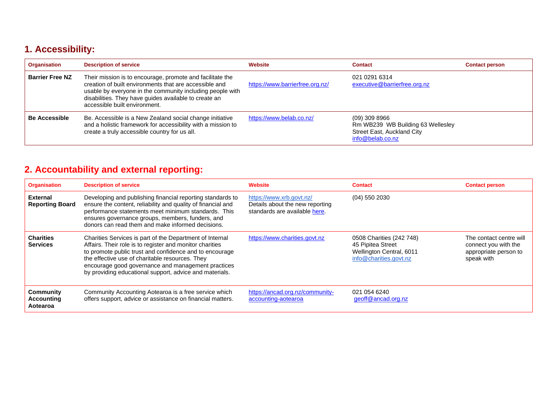# **1. Accessibility:**

| <b>Organisation</b>    | <b>Description of service</b>                                                                                                                                                                                                                                              | Website                         | <b>Contact</b>                                                                                         | <b>Contact person</b> |
|------------------------|----------------------------------------------------------------------------------------------------------------------------------------------------------------------------------------------------------------------------------------------------------------------------|---------------------------------|--------------------------------------------------------------------------------------------------------|-----------------------|
| <b>Barrier Free NZ</b> | Their mission is to encourage, promote and facilitate the<br>creation of built environments that are accessible and<br>usable by everyone in the community including people with<br>disabilities. They have guides available to create an<br>accessible built environment. | https://www.barrierfree.org.nz/ | 021 0291 6314<br>executive@barrierfree.org.nz                                                          |                       |
| <b>Be Accessible</b>   | Be. Accessible is a New Zealand social change initiative<br>and a holistic framework for accessibility with a mission to<br>create a truly accessible country for us all.                                                                                                  | https://www.belab.co.nz/        | $(09)$ 309 8966<br>Rm WB239 WB Building 63 Wellesley<br>Street East, Auckland City<br>info@belab.co.nz |                       |

# **2. Accountability and external reporting:**

<span id="page-2-0"></span>

| <b>Organisation</b>                        | <b>Description of service</b>                                                                                                                                                                                                                                                                                                                       | <b>Website</b>                                                                               | <b>Contact</b>                                                                                      | <b>Contact person</b>                                                                  |
|--------------------------------------------|-----------------------------------------------------------------------------------------------------------------------------------------------------------------------------------------------------------------------------------------------------------------------------------------------------------------------------------------------------|----------------------------------------------------------------------------------------------|-----------------------------------------------------------------------------------------------------|----------------------------------------------------------------------------------------|
| <b>External</b><br><b>Reporting Board</b>  | Developing and publishing financial reporting standards to<br>ensure the content, reliability and quality of financial and<br>performance statements meet minimum standards. This<br>ensures governance groups, members, funders, and<br>donors can read them and make informed decisions.                                                          | https://www.xrb.govt.nz/<br>Details about the new reporting<br>standards are available here. | $(04)$ 550 2030                                                                                     |                                                                                        |
| <b>Charities</b><br><b>Services</b>        | Charities Services is part of the Department of Internal<br>Affairs. Their role is to register and monitor charities<br>to promote public trust and confidence and to encourage<br>the effective use of charitable resources. They<br>encourage good governance and management practices<br>by providing educational support, advice and materials. | https://www.charities.govt.nz                                                                | 0508 Charities (242 748)<br>45 Pipitea Street<br>Wellington Central, 6011<br>info@charities.govt.nz | The contact centre will<br>connect you with the<br>appropriate person to<br>speak with |
| Community<br><b>Accounting</b><br>Aotearoa | Community Accounting Aotearoa is a free service which<br>offers support, advice or assistance on financial matters.                                                                                                                                                                                                                                 | https://ancad.org.nz/community-<br>accounting-aotearoa                                       | 021 054 6240<br>geoff@ancad.org.nz                                                                  |                                                                                        |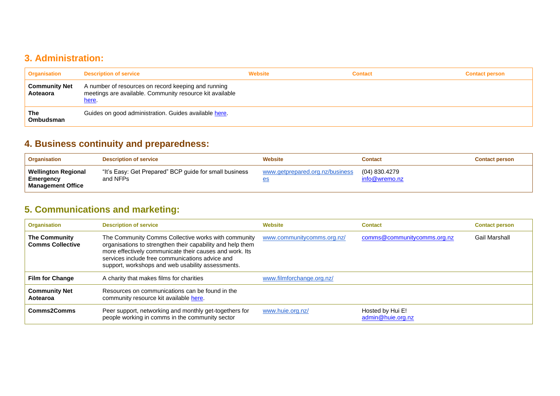#### **3. Administration:**

| <b>Organisation</b>              | <b>Description of service</b>                                                                                            | Website | <b>Contact</b> | <b>Contact person</b> |
|----------------------------------|--------------------------------------------------------------------------------------------------------------------------|---------|----------------|-----------------------|
| <b>Community Net</b><br>Aoteaora | A number of resources on record keeping and running<br>meetings are available. Community resource kit available<br>here. |         |                |                       |
| The<br><b>Ombudsman</b>          | Guides on good administration. Guides available here.                                                                    |         |                |                       |

# **4. Business continuity and preparedness:**

| <b>Organisation</b>                                                 | <b>Description of service</b>                                      | <b>Website</b>                        | Contact                        | <b>Contact person</b> |
|---------------------------------------------------------------------|--------------------------------------------------------------------|---------------------------------------|--------------------------------|-----------------------|
| <b>Wellington Regional</b><br>Emergency<br><b>Management Office</b> | "It's Easy: Get Prepared" BCP guide for small business<br>and NFPs | www.getprepared.org.nz/business<br>es | (04) 830.4279<br>info@wremo.nz |                       |

# <span id="page-3-0"></span>**5. Communications and marketing:**

<span id="page-3-2"></span><span id="page-3-1"></span>

| <b>Organisation</b>                             | <b>Description of service</b>                                                                                                                                                                                                                                                        | Website                    | <b>Contact</b>                        | <b>Contact person</b> |
|-------------------------------------------------|--------------------------------------------------------------------------------------------------------------------------------------------------------------------------------------------------------------------------------------------------------------------------------------|----------------------------|---------------------------------------|-----------------------|
| <b>The Community</b><br><b>Comms Collective</b> | The Community Comms Collective works with community<br>organisations to strengthen their capability and help them<br>more effectively communicate their causes and work. Its<br>services include free communications advice and<br>support, workshops and web usability assessments. | www.communitycomms.org.nz/ | comms@communitycomms.org.nz           | Gail Marshall         |
| <b>Film for Change</b>                          | A charity that makes films for charities                                                                                                                                                                                                                                             | www.filmforchange.org.nz/  |                                       |                       |
| <b>Community Net</b><br>Aotearoa                | Resources on communications can be found in the<br>community resource kit available here.                                                                                                                                                                                            |                            |                                       |                       |
| <b>Comms2Comms</b>                              | Peer support, networking and monthly get-togethers for<br>people working in comms in the community sector                                                                                                                                                                            | www.huie.org.nz/           | Hosted by Hui E!<br>admin@huie.org.nz |                       |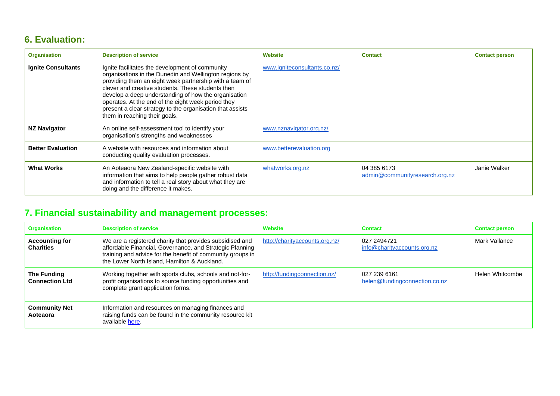### **6. Evaluation:**

| <b>Organisation</b>       | <b>Description of service</b>                                                                                                                                                                                                                                                                                                                                                                                                         | <b>Website</b>               | <b>Contact</b>                                | <b>Contact person</b> |
|---------------------------|---------------------------------------------------------------------------------------------------------------------------------------------------------------------------------------------------------------------------------------------------------------------------------------------------------------------------------------------------------------------------------------------------------------------------------------|------------------------------|-----------------------------------------------|-----------------------|
| <b>Ignite Consultants</b> | Ignite facilitates the development of community<br>organisations in the Dunedin and Wellington regions by<br>providing them an eight week partnership with a team of<br>clever and creative students. These students then<br>develop a deep understanding of how the organisation<br>operates. At the end of the eight week period they<br>present a clear strategy to the organisation that assists<br>them in reaching their goals. | www.igniteconsultants.co.nz/ |                                               |                       |
| <b>NZ Navigator</b>       | An online self-assessment tool to identify your<br>organisation's strengths and weaknesses                                                                                                                                                                                                                                                                                                                                            | www.nznavigator.org.nz/      |                                               |                       |
| <b>Better Evaluation</b>  | A website with resources and information about<br>conducting quality evaluation processes.                                                                                                                                                                                                                                                                                                                                            | www.betterevaluation.org     |                                               |                       |
| <b>What Works</b>         | An Aoteaora New Zealand-specific website with<br>information that aims to help people gather robust data<br>and information to tell a real story about what they are<br>doing and the difference it makes.                                                                                                                                                                                                                            | whatworks.org.nz             | 04 385 6173<br>admin@communityresearch.org.nz | Janie Walker          |

# <span id="page-4-0"></span>**7. Financial sustainability and management processes:**

<span id="page-4-1"></span>

| <b>Organisation</b>                       | <b>Description of service</b>                                                                                                                                                                                                      | Website                        | <b>Contact</b>                                | <b>Contact person</b> |
|-------------------------------------------|------------------------------------------------------------------------------------------------------------------------------------------------------------------------------------------------------------------------------------|--------------------------------|-----------------------------------------------|-----------------------|
| <b>Accounting for</b><br><b>Charities</b> | We are a registered charity that provides subsidised and<br>affordable Financial, Governance, and Strategic Planning<br>training and advice for the benefit of community groups in<br>the Lower North Island, Hamilton & Auckland. | http://charityaccounts.org.nz/ | 027 2494721<br>info@charityaccounts.org.nz    | Mark Vallance         |
| The Funding<br><b>Connection Ltd</b>      | Working together with sports clubs, schools and not-for-<br>profit organisations to source funding opportunities and<br>complete grant application forms.                                                                          | http://fundingconnection.nz/   | 027 239 6161<br>helen@fundingconnection.co.nz | Helen Whitcombe       |
| <b>Community Net</b><br>Aoteaora          | Information and resources on managing finances and<br>raising funds can be found in the community resource kit<br>available here.                                                                                                  |                                |                                               |                       |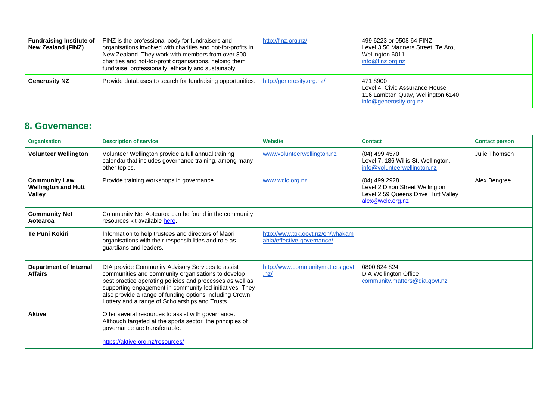| <b>Fundraising Institute of</b><br>New Zealand (FINZ) | FINZ is the professional body for fundraisers and<br>organisations involved with charities and not-for-profits in<br>New Zealand. They work with members from over 800<br>charities and not-for-profit organisations, helping them<br>fundraise; professionally, ethically and sustainably. | http://finz.org.nz/       | 499 6223 or 0508 64 FINZ<br>Level 3 50 Manners Street, Te Aro,<br>Wellington 6011<br>info@finz.org.nz     |
|-------------------------------------------------------|---------------------------------------------------------------------------------------------------------------------------------------------------------------------------------------------------------------------------------------------------------------------------------------------|---------------------------|-----------------------------------------------------------------------------------------------------------|
| <b>Generosity NZ</b>                                  | Provide databases to search for fundraising opportunities.                                                                                                                                                                                                                                  | http://generosity.org.nz/ | 471 8900<br>Level 4, Civic Assurance House<br>116 Lambton Quay, Wellington 6140<br>info@generosity.org.nz |

#### **8. Governance:**

<span id="page-5-0"></span>

| <b>Organisation</b>                                                 | <b>Description of service</b>                                                                                                                                                                                                                                                                                                                   | Website                                                        | <b>Contact</b>                                                                                              | <b>Contact person</b> |
|---------------------------------------------------------------------|-------------------------------------------------------------------------------------------------------------------------------------------------------------------------------------------------------------------------------------------------------------------------------------------------------------------------------------------------|----------------------------------------------------------------|-------------------------------------------------------------------------------------------------------------|-----------------------|
| <b>Volunteer Wellington</b>                                         | Volunteer Wellington provide a full annual training<br>calendar that includes governance training, among many<br>other topics.                                                                                                                                                                                                                  | www.volunteerwellington.nz                                     | $(04)$ 499 4570<br>Level 7, 186 Willis St, Wellington.<br>info@volunteerwellington.nz                       | Julie Thomson         |
| <b>Community Law</b><br><b>Wellington and Hutt</b><br><b>Valley</b> | Provide training workshops in governance                                                                                                                                                                                                                                                                                                        | www.wclc.org.nz                                                | (04) 499 2928<br>Level 2 Dixon Street Wellington<br>Level 2 59 Queens Drive Hutt Valley<br>alex@wclc.org.nz | Alex Bengree          |
| <b>Community Net</b><br>Aotearoa                                    | Community Net Aotearoa can be found in the community<br>resources kit available here.                                                                                                                                                                                                                                                           |                                                                |                                                                                                             |                       |
| <b>Te Puni Kokiri</b>                                               | Information to help trustees and directors of Māori<br>organisations with their responsibilities and role as<br>guardians and leaders.                                                                                                                                                                                                          | http://www.tpk.govt.nz/en/whakam<br>ahia/effective-governance/ |                                                                                                             |                       |
| Department of Internal<br><b>Affairs</b>                            | DIA provide Community Advisory Services to assist<br>communities and community organisations to develop<br>best practice operating policies and processes as well as<br>supporting engagement in community led initiatives. They<br>also provide a range of funding options including Crown;<br>Lottery and a range of Scholarships and Trusts. | http://www.communitymatters.govt<br>.nz/                       | 0800 824 824<br><b>DIA Wellington Office</b><br>community.matters@dia.govt.nz                               |                       |
| <b>Aktive</b>                                                       | Offer several resources to assist with governance.<br>Although targeted at the sports sector, the principles of<br>governance are transferrable.<br>https://aktive.org.nz/resources/                                                                                                                                                            |                                                                |                                                                                                             |                       |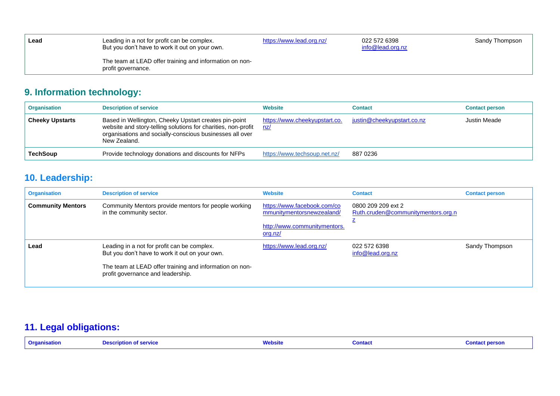| Lead | Leading in a not for profit can be complex.<br>But you don't have to work it out on your own. | https://www.lead.org.nz/ | 022 572 6398<br>info@lead.org.nz | Sandy Thompson |
|------|-----------------------------------------------------------------------------------------------|--------------------------|----------------------------------|----------------|
|      | The team at LEAD offer training and information on non-<br>profit governance.                 |                          |                                  |                |

# **9. Information technology:**

| <b>Organisation</b>    | <b>Description of service</b>                                                                                                                                                                      | <b>Website</b>                       | Contact                    | <b>Contact person</b> |
|------------------------|----------------------------------------------------------------------------------------------------------------------------------------------------------------------------------------------------|--------------------------------------|----------------------------|-----------------------|
| <b>Cheeky Upstarts</b> | Based in Wellington, Cheeky Upstart creates pin-point<br>website and story-telling solutions for charities, non-profit<br>organisations and socially-conscious businesses all over<br>New Zealand. | https://www.cheekyupstart.co.<br>nz/ | justin@cheekyupstart.co.nz | Justin Meade          |
| <b>TechSoup</b>        | Provide technology donations and discounts for NFPs                                                                                                                                                | https://www.techsoup.net.nz/         | 887 0236                   |                       |

# **10. Leadership:**

<span id="page-6-0"></span>

| <b>Organisation</b>      | <b>Description of service</b>                                                                                                                                                                 | <b>Website</b>                                                                                      | <b>Contact</b>                                           | <b>Contact person</b> |
|--------------------------|-----------------------------------------------------------------------------------------------------------------------------------------------------------------------------------------------|-----------------------------------------------------------------------------------------------------|----------------------------------------------------------|-----------------------|
| <b>Community Mentors</b> | Community Mentors provide mentors for people working<br>in the community sector.                                                                                                              | https://www.facebook.com/co<br>mmunitymentorsnewzealand/<br>http://www.communitymentors.<br>org.nz/ | 0800 209 209 ext 2<br>Ruth.cruden@communitymentors.org.n |                       |
| Lead                     | Leading in a not for profit can be complex.<br>But you don't have to work it out on your own.<br>The team at LEAD offer training and information on non-<br>profit governance and leadership. | https://www.lead.org.nz/                                                                            | 022 572 6398<br>info@lead.org.nz                         | Sandy Thompson        |

# <span id="page-6-1"></span>**11. Legal obligations:**

<span id="page-6-2"></span>

| <b>Organisation</b> | <b>Description of service</b> | Website | <b>Contact</b> | <b>Contact person</b> |
|---------------------|-------------------------------|---------|----------------|-----------------------|
|---------------------|-------------------------------|---------|----------------|-----------------------|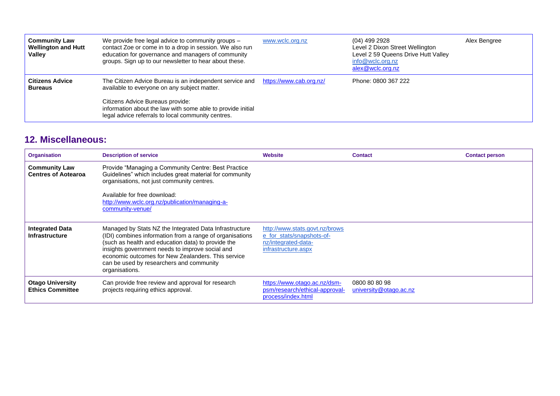| <b>Community Law</b><br><b>Wellington and Hutt</b><br>Valley | We provide free legal advice to community groups -<br>contact Zoe or come in to a drop in session. We also run<br>education for governance and managers of community<br>groups. Sign up to our newsletter to hear about these. | www.wclc.org.nz         | (04) 499 2928<br>Level 2 Dixon Street Wellington<br>Level 2 59 Queens Drive Hutt Valley<br>info@wclc.org.nz<br>alex@wclc.org.nz | Alex Bengree |
|--------------------------------------------------------------|--------------------------------------------------------------------------------------------------------------------------------------------------------------------------------------------------------------------------------|-------------------------|---------------------------------------------------------------------------------------------------------------------------------|--------------|
| <b>Citizens Advice</b><br><b>Bureaus</b>                     | The Citizen Advice Bureau is an independent service and<br>available to everyone on any subject matter.                                                                                                                        | https://www.cab.org.nz/ | Phone: 0800 367 222                                                                                                             |              |
|                                                              | Citizens Advice Bureaus provide:<br>information about the law with some able to provide initial<br>legal advice referrals to local community centres.                                                                          |                         |                                                                                                                                 |              |

#### **12. Miscellaneous:**

<span id="page-7-0"></span>

| <b>Organisation</b>                                | <b>Description of service</b>                                                                                                                                                                                                                                                                                                                   | <b>Website</b>                                                                                            | <b>Contact</b>                          | <b>Contact person</b> |
|----------------------------------------------------|-------------------------------------------------------------------------------------------------------------------------------------------------------------------------------------------------------------------------------------------------------------------------------------------------------------------------------------------------|-----------------------------------------------------------------------------------------------------------|-----------------------------------------|-----------------------|
| <b>Community Law</b><br><b>Centres of Aotearoa</b> | Provide "Managing a Community Centre: Best Practice<br>Guidelines" which includes great material for community<br>organisations, not just community centres.<br>Available for free download:<br>http://www.wclc.org.nz/publication/managing-a-<br>community-venue/                                                                              |                                                                                                           |                                         |                       |
| <b>Integrated Data</b><br><b>Infrastructure</b>    | Managed by Stats NZ the Integrated Data Infrastructure<br>(IDI) combines information from a range of organisations<br>(such as health and education data) to provide the<br>insights government needs to improve social and<br>economic outcomes for New Zealanders. This service<br>can be used by researchers and community<br>organisations. | http://www.stats.govt.nz/brows<br>e for stats/snapshots-of-<br>nz/integrated-data-<br>infrastructure.aspx |                                         |                       |
| <b>Otago University</b><br><b>Ethics Committee</b> | Can provide free review and approval for research<br>projects requiring ethics approval.                                                                                                                                                                                                                                                        | https://www.otago.ac.nz/dsm-<br>psm/research/ethical-approval-<br>process/index.html                      | 0800 80 80 98<br>university@otago.ac.nz |                       |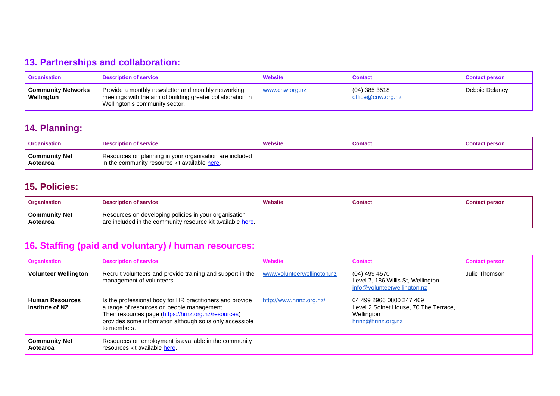# **13. Partnerships and collaboration:**

| Organisation                            | <b>Description of service</b>                                                                                                                       | <b>Website</b> | <b>Contact</b>                     | <b>Contact person</b> |
|-----------------------------------------|-----------------------------------------------------------------------------------------------------------------------------------------------------|----------------|------------------------------------|-----------------------|
| <b>Community Networks</b><br>Wellington | Provide a monthly newsletter and monthly networking<br>meetings with the aim of building greater collaboration in<br>Wellington's community sector. | www.cnw.org.nz | (04) 385 3518<br>office@cnw.org.nz | Debbie Delaney        |

#### **14. Planning:**

| <b>Organisation</b>              | <b>Description of service</b>                                                                            | Website | Contact | Contact person |
|----------------------------------|----------------------------------------------------------------------------------------------------------|---------|---------|----------------|
| <b>Community Net</b><br>Aotearoa | Resources on planning in your organisation are included<br>in the community resource kit available here. |         |         |                |

#### **15. Policies:**

<span id="page-8-0"></span>

| <b>Organisation</b>              | <b>Description of service</b>                                                                                       | Website | Contact | <b>Contact person</b> |
|----------------------------------|---------------------------------------------------------------------------------------------------------------------|---------|---------|-----------------------|
| <b>Community Net</b><br>Aotearoa | Resources on developing policies in your organisation<br>are included in the community resource kit available here. |         |         |                       |

### **16. Staffing (paid and voluntary) / human resources:**

<span id="page-8-3"></span><span id="page-8-2"></span><span id="page-8-1"></span>

| <b>Organisation</b>                       | <b>Description of service</b>                                                                                                                                                                                                              | <b>Website</b>             | <b>Contact</b>                                                                                        | <b>Contact person</b> |
|-------------------------------------------|--------------------------------------------------------------------------------------------------------------------------------------------------------------------------------------------------------------------------------------------|----------------------------|-------------------------------------------------------------------------------------------------------|-----------------------|
| <b>Volunteer Wellington</b>               | Recruit volunteers and provide training and support in the<br>management of volunteers.                                                                                                                                                    | www.volunteerwellington.nz | (04) 499 4570<br>Level 7, 186 Willis St, Wellington.<br>info@volunteerwellington.nz                   | Julie Thomson         |
| <b>Human Resources</b><br>Institute of NZ | Is the professional body for HR practitioners and provide<br>a range of resources on people management.<br>Their resources page (https://hrnz.org.nz/resources)<br>provides some information although so is only accessible<br>to members. | http://www.hrinz.org.nz/   | 04 499 2966 0800 247 469<br>Level 2 Solnet House, 70 The Terrace,<br>Wellington<br>hrinz@hrinz.org.nz |                       |
| <b>Community Net</b><br>Aotearoa          | Resources on employment is available in the community<br>resources kit available here.                                                                                                                                                     |                            |                                                                                                       |                       |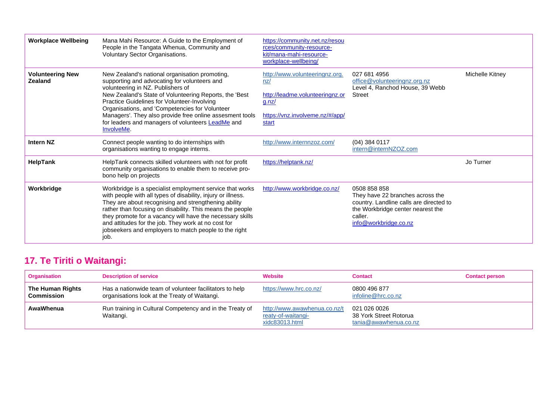| <b>Workplace Wellbeing</b>         | Mana Mahi Resource: A Guide to the Employment of<br>People in the Tangata Whenua, Community and<br>Voluntary Sector Organisations.                                                                                                                                                                                                                                                                                                          | https://community.net.nz/resou<br>rces/community-resource-<br>kit/mana-mahi-resource-<br>workplace-wellbeing/                 |                                                                                                                                                                      |                 |
|------------------------------------|---------------------------------------------------------------------------------------------------------------------------------------------------------------------------------------------------------------------------------------------------------------------------------------------------------------------------------------------------------------------------------------------------------------------------------------------|-------------------------------------------------------------------------------------------------------------------------------|----------------------------------------------------------------------------------------------------------------------------------------------------------------------|-----------------|
| <b>Volunteering New</b><br>Zealand | New Zealand's national organisation promoting,<br>supporting and advocating for volunteers and<br>volunteering in NZ. Publishers of<br>New Zealand's State of Volunteering Reports, the 'Best<br>Practice Guidelines for Volunteer-Involving<br>Organisations, and 'Competencies for Volunteer<br>Managers'. They also provide free online assesment tools<br>for leaders and managers of volunteers <b>LeadMe</b> and<br><b>InvolveMe.</b> | http://www.volunteeringnz.org.<br>nz/<br>http://leadme.volunteeringnz.or<br>g.nz/<br>https://vnz.involveme.nz/#/app/<br>start | 027 681 4956<br>office@volunteeringnz.org.nz<br>Level 4, Ranchod House, 39 Webb<br>Street                                                                            | Michelle Kitney |
| <b>Intern NZ</b>                   | Connect people wanting to do internships with<br>organisations wanting to engage interns.                                                                                                                                                                                                                                                                                                                                                   | http://www.internnzoz.com/                                                                                                    | (04) 384 0117<br>intern@internNZOZ.com                                                                                                                               |                 |
| HelpTank                           | HelpTank connects skilled volunteers with not for profit<br>community organisations to enable them to receive pro-<br>bono help on projects                                                                                                                                                                                                                                                                                                 | https://helptank.nz/                                                                                                          |                                                                                                                                                                      | Jo Turner       |
| Workbridge                         | Workbridge is a specialist employment service that works<br>with people with all types of disability, injury or illness.<br>They are about recognising and strengthening ability<br>rather than focusing on disability. This means the people<br>they promote for a vacancy will have the necessary skills<br>and attitudes for the job. They work at no cost for<br>jobseekers and employers to match people to the right<br>job.          | http://www.workbridge.co.nz/                                                                                                  | 0508 858 858<br>They have 22 branches across the<br>country. Landline calls are directed to<br>the Workbridge center nearest the<br>caller.<br>info@workbridge.co.nz |                 |

# **17. Te Tiriti o Waitangi:**

<span id="page-9-0"></span>

| <b>Organisation</b>                   | <b>Description of service</b>                                                                            | <b>Website</b>                                                       | <b>Contact</b>                                                  | <b>Contact person</b> |
|---------------------------------------|----------------------------------------------------------------------------------------------------------|----------------------------------------------------------------------|-----------------------------------------------------------------|-----------------------|
| The Human Rights<br><b>Commission</b> | Has a nationwide team of volunteer facilitators to help<br>organisations look at the Treaty of Waitangi. | https://www.hrc.co.nz/                                               | 0800 496 877<br>infoline@hrc.co.nz                              |                       |
| AwaWhenua                             | Run training in Cultural Competency and in the Treaty of<br>Waitangi.                                    | http://www.awawhenua.co.nz/t<br>reaty-of-waitangi-<br>xidc83013.html | 021 026 0026<br>38 York Street Rotorua<br>tania@awawhenua.co.nz |                       |